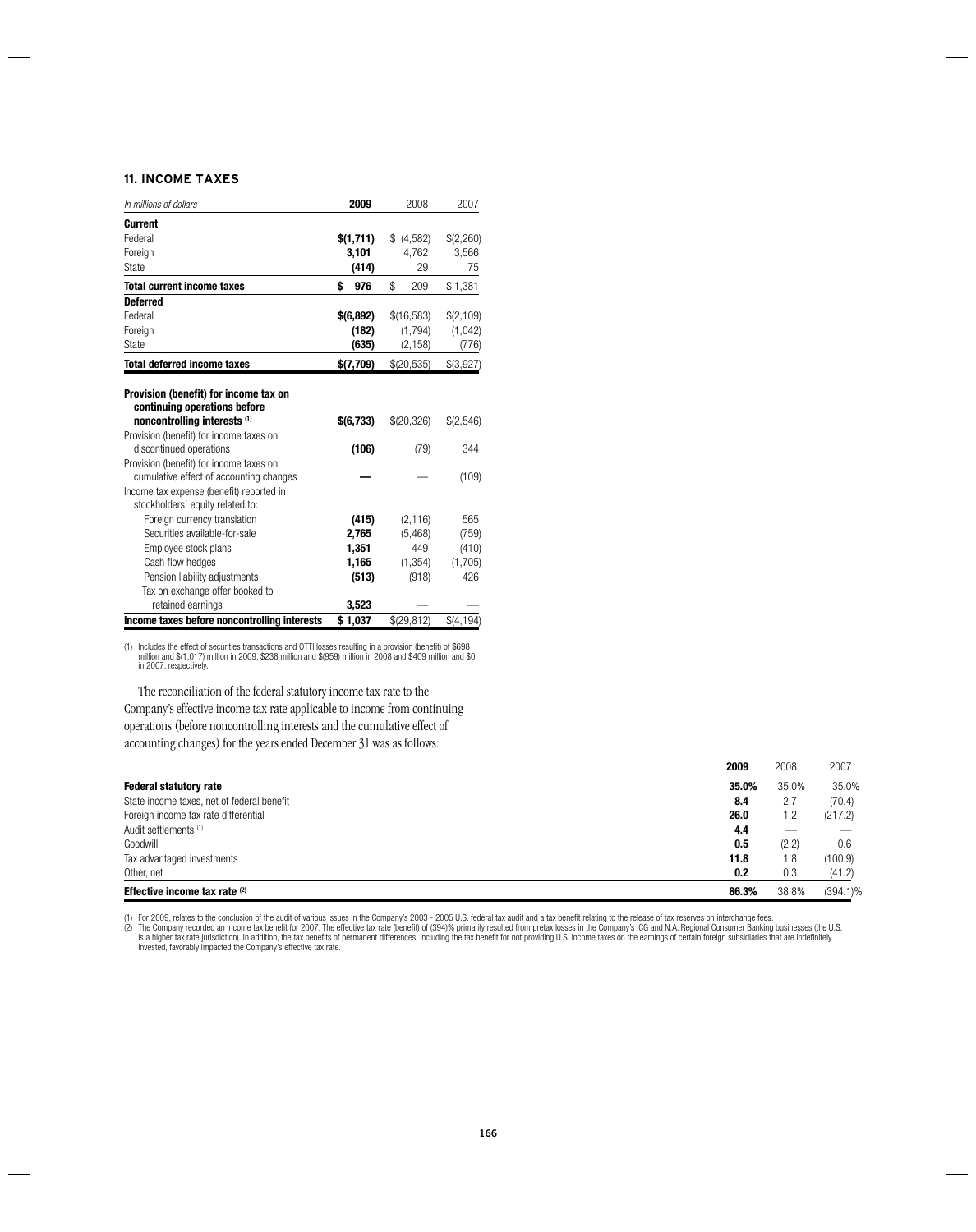## **11. INCOME TAXES**

| In millions of dollars                                                                                                                                                                             | 2009                                               | 2008                                             | 2007                                    |
|----------------------------------------------------------------------------------------------------------------------------------------------------------------------------------------------------|----------------------------------------------------|--------------------------------------------------|-----------------------------------------|
| <b>Current</b><br>Federal<br>Foreign<br>State                                                                                                                                                      | \$(1,711)<br>3,101<br>(414)                        | (4,582)<br>4,762<br>29                           | \$(2,260)<br>3,566<br>75                |
| <b>Total current income taxes</b>                                                                                                                                                                  | \$<br>976                                          | \$<br>209                                        | \$1,381                                 |
| <b>Deferred</b><br>Federal<br>Foreign<br>State                                                                                                                                                     | \$(6,892)<br>(182)<br>(635)                        | \$(16,583)<br>(1,794)<br>(2, 158)                | \$(2,109)<br>(1,042)<br>(776)           |
| <b>Total deferred income taxes</b>                                                                                                                                                                 | \$(7,709)                                          | \$(20,535)                                       | \$(3,927)                               |
| Provision (benefit) for income tax on<br>continuing operations before<br>noncontrolling interests (1)<br>Provision (benefit) for income taxes on<br>discontinued operations                        | \$(6,733)<br>(106)                                 | \$(20,326)<br>(79)                               | \$(2,546)<br>344                        |
| Provision (benefit) for income taxes on<br>cumulative effect of accounting changes<br>Income tax expense (benefit) reported in<br>stockholders' equity related to:                                 |                                                    |                                                  | (109)                                   |
| Foreign currency translation<br>Securities available-for-sale<br>Employee stock plans<br>Cash flow hedges<br>Pension liability adjustments<br>Tax on exchange offer booked to<br>retained earnings | (415)<br>2,765<br>1,351<br>1,165<br>(513)<br>3,523 | (2, 116)<br>(5, 468)<br>449<br>(1, 354)<br>(918) | 565<br>(759)<br>(410)<br>(1,705)<br>426 |
| Income taxes before noncontrolling interests                                                                                                                                                       | \$1,037                                            | \$(29,812)                                       | \$(4, 194)                              |

(1) Includes the effect of securities transactions and OTTI losses resulting in a provision (benefit) of \$698<br>million and \$(1,017) million in 2009, \$238 million and \$(959) million in 2008 and \$409 million and \$0<br>in 2007, r

The reconciliation of the federal statutory income tax rate to the Company's effective income tax rate applicable to income from continuing operations (before noncontrolling interests and the cumulative effect of accounting changes) for the years ended December 31 was as follows:

|                                            | 2009  | 2008  | 2007        |
|--------------------------------------------|-------|-------|-------------|
| <b>Federal statutory rate</b>              | 35.0% | 35.0% | 35.0%       |
| State income taxes, net of federal benefit | 8.4   | 2.7   | (70.4)      |
| Foreign income tax rate differential       | 26.0  | 1.2   | (217.2)     |
| Audit settlements (1)                      | 4.4   |       |             |
| Goodwill                                   | 0.5   | (2.2) | 0.6         |
| Tax advantaged investments                 | 11.8  | 1.8   | (100.9)     |
| Other, net                                 | 0.2   | 0.3   | (41.2)      |
| Effective income tax rate (2)              | 86.3% | 38.8% | $(394.1)\%$ |

(1) For 2009, relates to the conclusion of the audit of various issues in the Company's 2003 - 2005 U.S. federal tax audit and a tax benefit relating to the release of tax reserves on interchange fees.<br>(2) The Company reco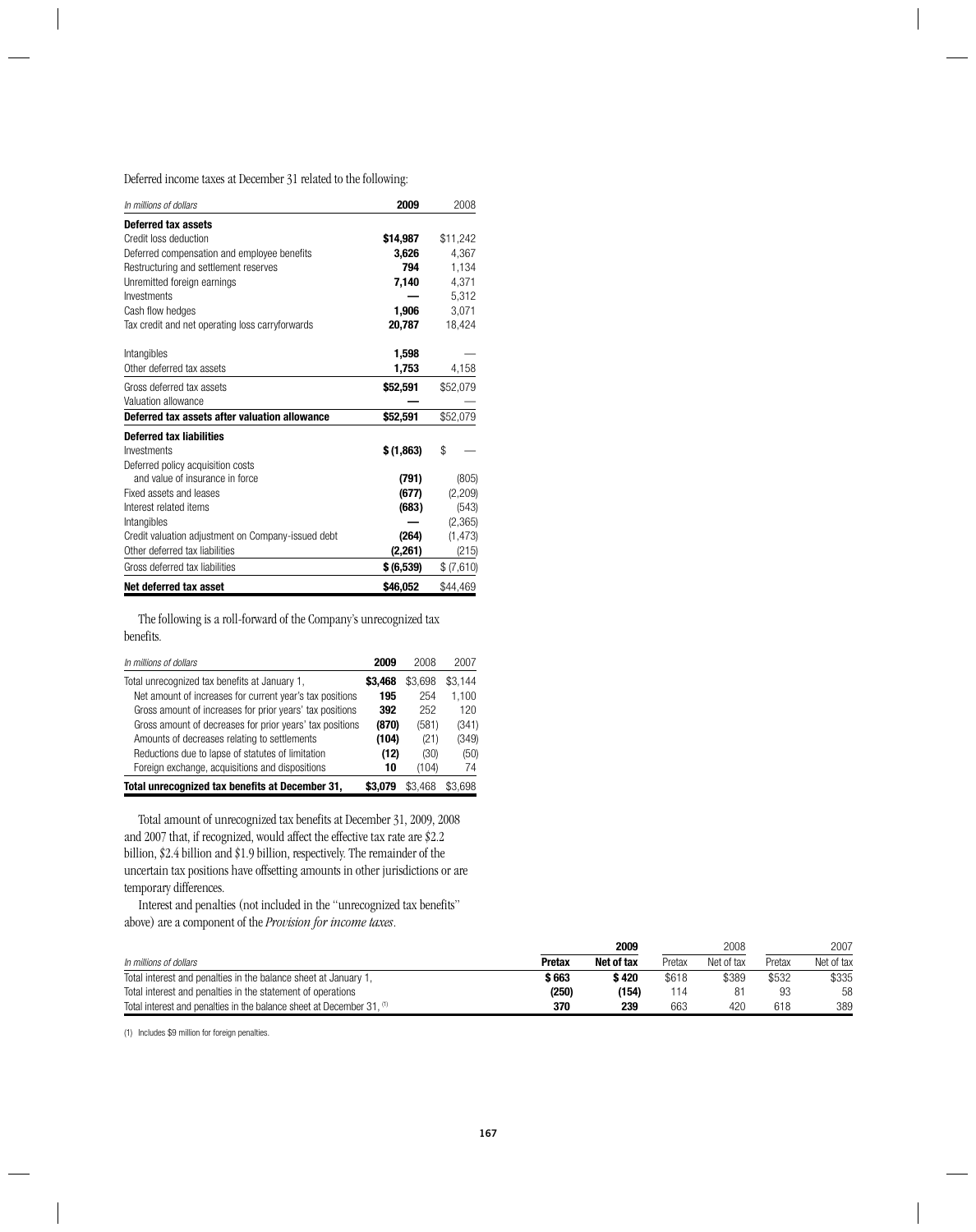Deferred income taxes at December 31 related to the following:

| In millions of dollars                             | 2009       | 2008      |
|----------------------------------------------------|------------|-----------|
| <b>Deferred tax assets</b>                         |            |           |
| Credit loss deduction                              | \$14,987   | \$11,242  |
| Deferred compensation and employee benefits        | 3,626      | 4,367     |
| Restructuring and settlement reserves              | 794        | 1,134     |
| Unremitted foreign earnings                        | 7,140      | 4,371     |
| Investments                                        |            | 5,312     |
| Cash flow hedges                                   | 1,906      | 3.071     |
| Tax credit and net operating loss carryforwards    | 20,787     | 18,424    |
| Intangibles                                        | 1,598      |           |
| Other deferred tax assets                          | 1,753      | 4,158     |
| Gross deferred tax assets                          | \$52,591   | \$52,079  |
| Valuation allowance                                |            |           |
| Deferred tax assets after valuation allowance      | \$52,591   | \$52,079  |
| <b>Deferred tax liabilities</b>                    |            |           |
| Investments                                        | \$(1,863)  | \$        |
| Deferred policy acquisition costs                  |            |           |
| and value of insurance in force                    | (791)      | (805)     |
| Fixed assets and leases                            | (677)      | (2,209)   |
| Interest related items                             | (683)      | (543)     |
| Intangibles                                        |            | (2,365)   |
| Credit valuation adjustment on Company-issued debt | (264)      | (1, 473)  |
| Other deferred tax liabilities                     | (2,261)    | (215)     |
| Gross deferred tax liabilities                     | \$ (6,539) | \$(7,610) |
| Net deferred tax asset                             | \$46,052   | \$44,469  |

The following is a roll-forward of the Company's unrecognized tax benefits.

| In millions of dollars                                   | 2009    | 2008    | 2007    |
|----------------------------------------------------------|---------|---------|---------|
| Total unrecognized tax benefits at January 1,            | \$3.468 | \$3,698 | \$3.144 |
| Net amount of increases for current year's tax positions | 195     | 254     | 1.100   |
| Gross amount of increases for prior years' tax positions | 392     | 252     | 120     |
| Gross amount of decreases for prior years' tax positions | (870)   | (581)   | (341)   |
| Amounts of decreases relating to settlements             | (104)   | (21)    | (349)   |
| Reductions due to lapse of statutes of limitation        | (12)    | (30)    | (50)    |
| Foreign exchange, acquisitions and dispositions          | 10      | (104)   | 74      |
| Total unrecognized tax benefits at December 31,          | \$3.079 | \$3.468 | \$3.698 |

Total amount of unrecognized tax benefits at December 31, 2009, 2008 and 2007 that, if recognized, would affect the effective tax rate are \$2.2 billion, \$2.4 billion and \$1.9 billion, respectively. The remainder of the uncertain tax positions have offsetting amounts in other jurisdictions or are temporary differences.

Interest and penalties (not included in the "unrecognized tax benefits" above) are a component of the *Provision for income taxes*.

|                                                                       | 2009          |            | 2008   |            | 2007   |            |
|-----------------------------------------------------------------------|---------------|------------|--------|------------|--------|------------|
| In millions of dollars                                                | <b>Pretax</b> | Net of tax | Pretax | Net of tax | Pretax | Net of tax |
| Total interest and penalties in the balance sheet at January 1,       | \$ 663        | \$420      | \$618  | \$389      | \$532  | \$335      |
| Total interest and penalties in the statement of operations           | (250)         | (154)      | 114    |            | 93     | 58         |
| Total interest and penalties in the balance sheet at December 31. (1) | 370           | 239        | 663    | 420        | 618    | 389        |

(1) Includes \$9 million for foreign penalties.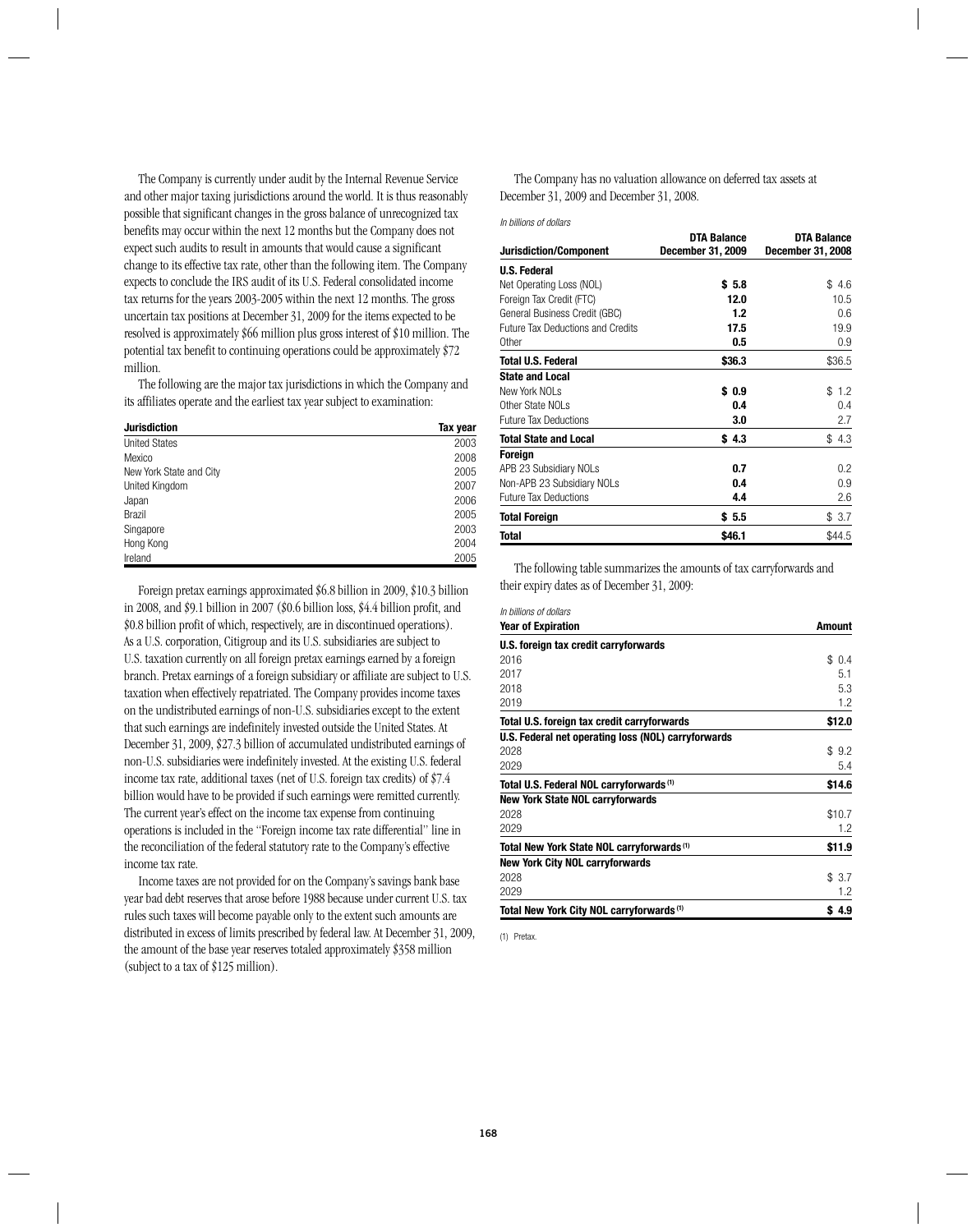The Company is currently under audit by the Internal Revenue Service and other major taxing jurisdictions around the world. It is thus reasonably possible that significant changes in the gross balance of unrecognized tax benefits may occur within the next 12 months but the Company does not expect such audits to result in amounts that would cause a significant change to its effective tax rate, other than the following item. The Company expects to conclude the IRS audit of its U.S. Federal consolidated income tax returns for the years 2003-2005 within the next 12 months. The gross uncertain tax positions at December 31, 2009 for the items expected to be resolved is approximately \$66 million plus gross interest of \$10 million. The potential tax benefit to continuing operations could be approximately \$72 million.

The following are the major tax jurisdictions in which the Company and its affiliates operate and the earliest tax year subject to examination:

| <b>Jurisdiction</b>     | Tax year |
|-------------------------|----------|
| <b>United States</b>    | 2003     |
| Mexico                  | 2008     |
| New York State and City | 2005     |
| United Kingdom          | 2007     |
| Japan                   | 2006     |
| <b>Brazil</b>           | 2005     |
| Singapore               | 2003     |
| Hong Kong               | 2004     |
| Ireland                 | 2005     |

Foreign pretax earnings approximated \$6.8 billion in 2009, \$10.3 billion in 2008, and \$9.1 billion in 2007 (\$0.6 billion loss, \$4.4 billion profit, and \$0.8 billion profit of which, respectively, are in discontinued operations). As a U.S. corporation, Citigroup and its U.S. subsidiaries are subject to U.S. taxation currently on all foreign pretax earnings earned by a foreign branch. Pretax earnings of a foreign subsidiary or affiliate are subject to U.S. taxation when effectively repatriated. The Company provides income taxes on the undistributed earnings of non-U.S. subsidiaries except to the extent that such earnings are indefinitely invested outside the United States. At December 31, 2009, \$27.3 billion of accumulated undistributed earnings of non-U.S. subsidiaries were indefinitely invested. At the existing U.S. federal income tax rate, additional taxes (net of U.S. foreign tax credits) of \$7.4 billion would have to be provided if such earnings were remitted currently. The current year's effect on the income tax expense from continuing operations is included in the "Foreign income tax rate differential" line in the reconciliation of the federal statutory rate to the Company's effective income tax rate.

Income taxes are not provided for on the Company's savings bank base year bad debt reserves that arose before 1988 because under current U.S. tax rules such taxes will become payable only to the extent such amounts are distributed in excess of limits prescribed by federal law. At December 31, 2009, the amount of the base year reserves totaled approximately \$358 million (subject to a tax of \$125 million).

The Company has no valuation allowance on deferred tax assets at December 31, 2009 and December 31, 2008.

*In billions of dollars*

|                                          | <b>DTA Balance</b> | <b>DTA Balance</b>       |
|------------------------------------------|--------------------|--------------------------|
| <b>Jurisdiction/Component</b>            | December 31, 2009  | <b>December 31, 2008</b> |
| <b>U.S. Federal</b>                      |                    |                          |
| Net Operating Loss (NOL)                 | \$5.8              | \$4.6                    |
| Foreign Tax Credit (FTC)                 | 12.0               | 10.5                     |
| General Business Credit (GBC)            | 1.2                | 0.6                      |
| <b>Future Tax Deductions and Credits</b> | 17.5               | 19.9                     |
| <b>Other</b>                             | 0.5                | 0.9                      |
| Total U.S. Federal                       | \$36.3             | \$36.5                   |
| <b>State and Local</b>                   |                    |                          |
| New York NOLs                            | \$0.9              | 1.2<br>\$                |
| Other State NOLs                         | 0.4                | 0.4                      |
| <b>Future Tax Deductions</b>             | 3.0                | 2.7                      |
| <b>Total State and Local</b>             | \$4.3              | \$4.3                    |
| Foreign                                  |                    |                          |
| APB 23 Subsidiary NOLs                   | 0.7                | 0.2                      |
| Non-APB 23 Subsidiary NOLs               | 0.4                | 0.9                      |
| <b>Future Tax Deductions</b>             | 4.4                | 2.6                      |
| <b>Total Foreign</b>                     | \$5.5              | \$3.7                    |
| Total                                    | \$46.1             | \$44.5                   |

The following table summarizes the amounts of tax carryforwards and their expiry dates as of December 31, 2009:

| in diliions of dollars<br><b>Year of Expiration</b>  | Amount    |
|------------------------------------------------------|-----------|
| U.S. foreign tax credit carryforwards                |           |
| 2016                                                 | \$0.4     |
| 2017                                                 | 5.1       |
| 2018                                                 | 5.3       |
| 2019                                                 | 1.2       |
| Total U.S. foreign tax credit carryforwards          | \$12.0    |
| U.S. Federal net operating loss (NOL) carryforwards  |           |
| 2028                                                 | 9.2<br>\$ |
| 2029                                                 | 5.4       |
| Total U.S. Federal NOL carryforwards <sup>(1)</sup>  | \$14.6    |
| <b>New York State NOL carryforwards</b>              |           |
| 2028                                                 | \$10.7    |
| 2029                                                 | 1.2       |
| Total New York State NOL carryforwards (1)           | \$11.9    |
| <b>New York City NOL carryforwards</b>               |           |
| 2028                                                 | \$3.7     |
| 2029                                                 | 1.2       |
| Total New York City NOL carryforwards <sup>(1)</sup> | \$4.9     |

(1) Pretax.

*In billions of dollars*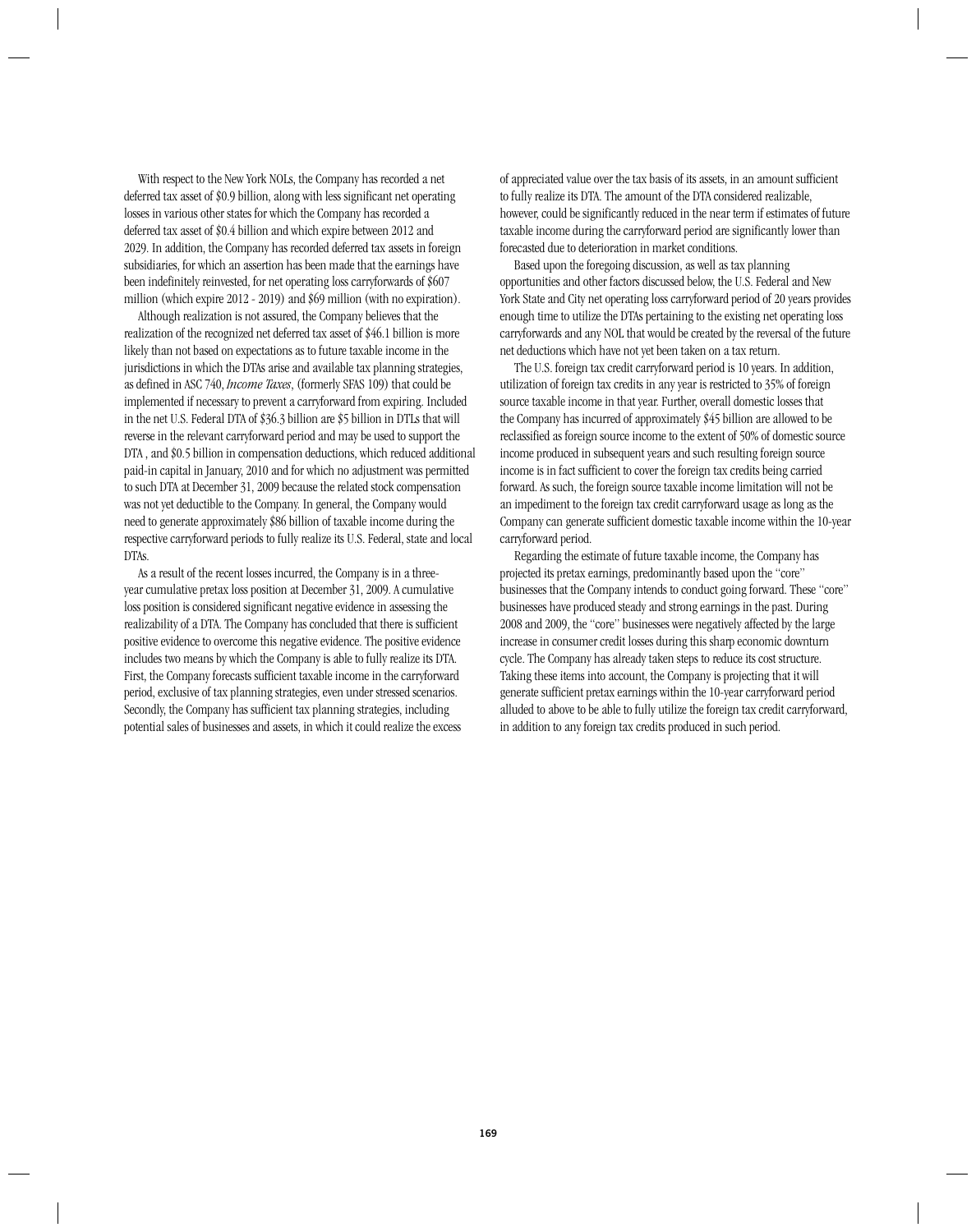With respect to the New York NOLs, the Company has recorded a net deferred tax asset of \$0.9 billion, along with less significant net operating losses in various other states for which the Company has recorded a deferred tax asset of \$0.4 billion and which expire between 2012 and 2029. In addition, the Company has recorded deferred tax assets in foreign subsidiaries, for which an assertion has been made that the earnings have been indefinitely reinvested, for net operating loss carryforwards of \$607 million (which expire 2012 - 2019) and \$69 million (with no expiration).

Although realization is not assured, the Company believes that the realization of the recognized net deferred tax asset of \$46.1 billion is more likely than not based on expectations as to future taxable income in the jurisdictions in which the DTAs arise and available tax planning strategies, as defined in ASC 740, *Income Taxes*, (formerly SFAS 109) that could be implemented if necessary to prevent a carryforward from expiring. Included in the net U.S. Federal DTA of \$36.3 billion are \$5 billion in DTLs that will reverse in the relevant carryforward period and may be used to support the DTA , and \$0.5 billion in compensation deductions, which reduced additional paid-in capital in January, 2010 and for which no adjustment was permitted to such DTA at December 31, 2009 because the related stock compensation was not yet deductible to the Company. In general, the Company would need to generate approximately \$86 billion of taxable income during the respective carryforward periods to fully realize its U.S. Federal, state and local DTAs.

As a result of the recent losses incurred, the Company is in a threeyear cumulative pretax loss position at December 31, 2009. A cumulative loss position is considered significant negative evidence in assessing the realizability of a DTA. The Company has concluded that there is sufficient positive evidence to overcome this negative evidence. The positive evidence includes two means by which the Company is able to fully realize its DTA. First, the Company forecasts sufficient taxable income in the carryforward period, exclusive of tax planning strategies, even under stressed scenarios. Secondly, the Company has sufficient tax planning strategies, including potential sales of businesses and assets, in which it could realize the excess of appreciated value over the tax basis of its assets, in an amount sufficient to fully realize its DTA. The amount of the DTA considered realizable, however, could be significantly reduced in the near term if estimates of future taxable income during the carryforward period are significantly lower than forecasted due to deterioration in market conditions.

Based upon the foregoing discussion, as well as tax planning opportunities and other factors discussed below, the U.S. Federal and New York State and City net operating loss carryforward period of 20 years provides enough time to utilize the DTAs pertaining to the existing net operating loss carryforwards and any NOL that would be created by the reversal of the future net deductions which have not yet been taken on a tax return.

The U.S. foreign tax credit carryforward period is 10 years. In addition, utilization of foreign tax credits in any year is restricted to 35% of foreign source taxable income in that year. Further, overall domestic losses that the Company has incurred of approximately \$45 billion are allowed to be reclassified as foreign source income to the extent of 50% of domestic source income produced in subsequent years and such resulting foreign source income is in fact sufficient to cover the foreign tax credits being carried forward. As such, the foreign source taxable income limitation will not be an impediment to the foreign tax credit carryforward usage as long as the Company can generate sufficient domestic taxable income within the 10-year carryforward period.

Regarding the estimate of future taxable income, the Company has projected its pretax earnings, predominantly based upon the "core" businesses that the Company intends to conduct going forward. These "core" businesses have produced steady and strong earnings in the past. During 2008 and 2009, the "core" businesses were negatively affected by the large increase in consumer credit losses during this sharp economic downturn cycle. The Company has already taken steps to reduce its cost structure. Taking these items into account, the Company is projecting that it will generate sufficient pretax earnings within the 10-year carryforward period alluded to above to be able to fully utilize the foreign tax credit carryforward, in addition to any foreign tax credits produced in such period.